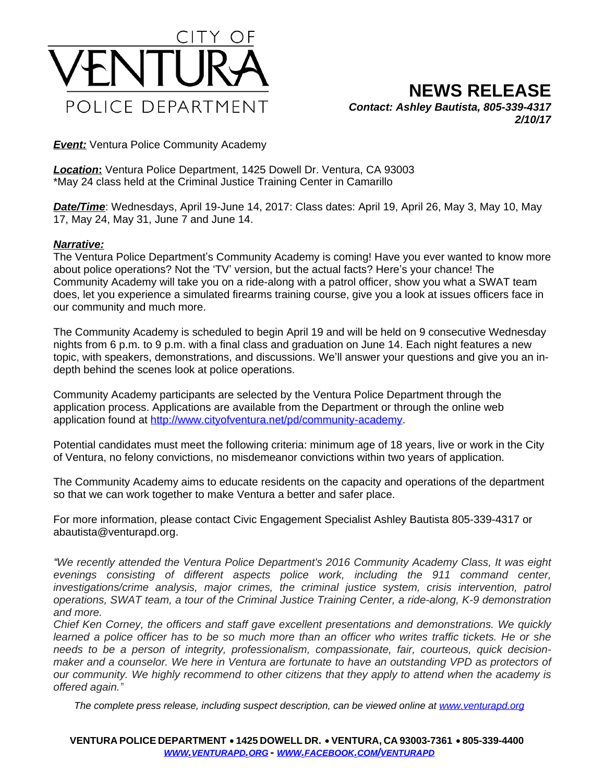

**Event:** Ventura Police Community Academy

*Location***:** Ventura Police Department, 1425 Dowell Dr. Ventura, CA 93003 \*May 24 class held at the Criminal Justice Training Center in Camarillo

*Date/Time*: Wednesdays, April 19-June 14, 2017: Class dates: April 19, April 26, May 3, May 10, May 17, May 24, May 31, June 7 and June 14.

## *Narrative:*

The Ventura Police Department's Community Academy is coming! Have you ever wanted to know more about police operations? Not the 'TV' version, but the actual facts? Here's your chance! The Community Academy will take you on a ride-along with a patrol officer, show you what a SWAT team does, let you experience a simulated firearms training course, give you a look at issues officers face in our community and much more.

The Community Academy is scheduled to begin April 19 and will be held on 9 consecutive Wednesday nights from 6 p.m. to 9 p.m. with a final class and graduation on June 14. Each night features a new topic, with speakers, demonstrations, and discussions. We'll answer your questions and give you an indepth behind the scenes look at police operations.

Community Academy participants are selected by the Ventura Police Department through the application process. Applications are available from the Department or through the online web application found at<http://www.cityofventura.net/pd/community-academy>.

Potential candidates must meet the following criteria: minimum age of 18 years, live or work in the City of Ventura, no felony convictions, no misdemeanor convictions within two years of application.

The Community Academy aims to educate residents on the capacity and operations of the department so that we can work together to make Ventura a better and safer place.

For more information, please contact Civic Engagement Specialist Ashley Bautista 805-339-4317 or abautista@venturapd.org.

*"We recently attended the Ventura Police Department's 2016 Community Academy Class, It was eight evenings consisting of different aspects police work, including the 911 command center, investigations/crime analysis, major crimes, the criminal justice system, crisis intervention, patrol operations, SWAT team, a tour of the Criminal Justice Training Center, a ride-along, K-9 demonstration and more.*

*Chief Ken Corney, the officers and staff gave excellent presentations and demonstrations. We quickly* learned a police officer has to be so much more than an officer who writes traffic tickets. He or she *needs to be a person of integrity, professionalism, compassionate, fair, courteous, quick decision*maker and a counselor. We here in Ventura are fortunate to have an outstanding VPD as protectors of *our community. We highly recommend to other citizens that they apply to attend when the academy is offered again."*

*The complete press release, including suspect description, can be viewed online at [www.venturapd.org](http://www.venturapd.org)*